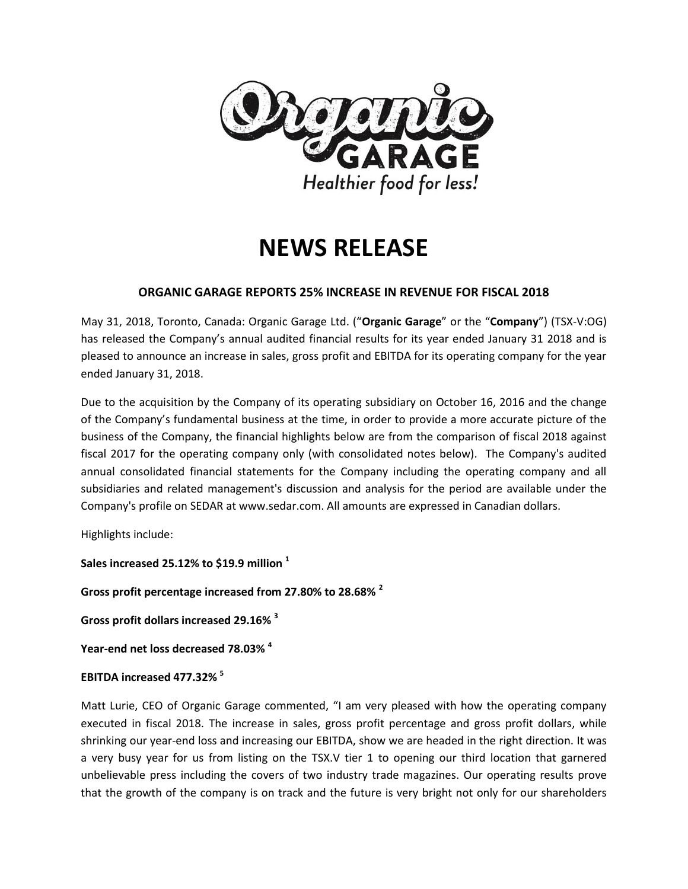

# **NEWS RELEASE**

## **ORGANIC GARAGE REPORTS 25% INCREASE IN REVENUE FOR FISCAL 2018**

May 31, 2018, Toronto, Canada: Organic Garage Ltd. ("**Organic Garage**" or the "**Company**") (TSX-V:OG) has released the Company's annual audited financial results for its year ended January 31 2018 and is pleased to announce an increase in sales, gross profit and EBITDA for its operating company for the year ended January 31, 2018.

Due to the acquisition by the Company of its operating subsidiary on October 16, 2016 and the change of the Company's fundamental business at the time, in order to provide a more accurate picture of the business of the Company, the financial highlights below are from the comparison of fiscal 2018 against fiscal 2017 for the operating company only (with consolidated notes below). The Company's audited annual consolidated financial statements for the Company including the operating company and all subsidiaries and related management's discussion and analysis for the period are available under the Company's profile on SEDAR at www.sedar.com. All amounts are expressed in Canadian dollars.

Highlights include:

**Sales increased 25.12% to \$19.9 million <sup>1</sup>**

**Gross profit percentage increased from 27.80% to 28.68% <sup>2</sup>**

**Gross profit dollars increased 29.16% <sup>3</sup>**

**Year-end net loss decreased 78.03% <sup>4</sup>**

## **EBITDA increased 477.32% <sup>5</sup>**

Matt Lurie, CEO of Organic Garage commented, "I am very pleased with how the operating company executed in fiscal 2018. The increase in sales, gross profit percentage and gross profit dollars, while shrinking our year-end loss and increasing our EBITDA, show we are headed in the right direction. It was a very busy year for us from listing on the TSX.V tier 1 to opening our third location that garnered unbelievable press including the covers of two industry trade magazines. Our operating results prove that the growth of the company is on track and the future is very bright not only for our shareholders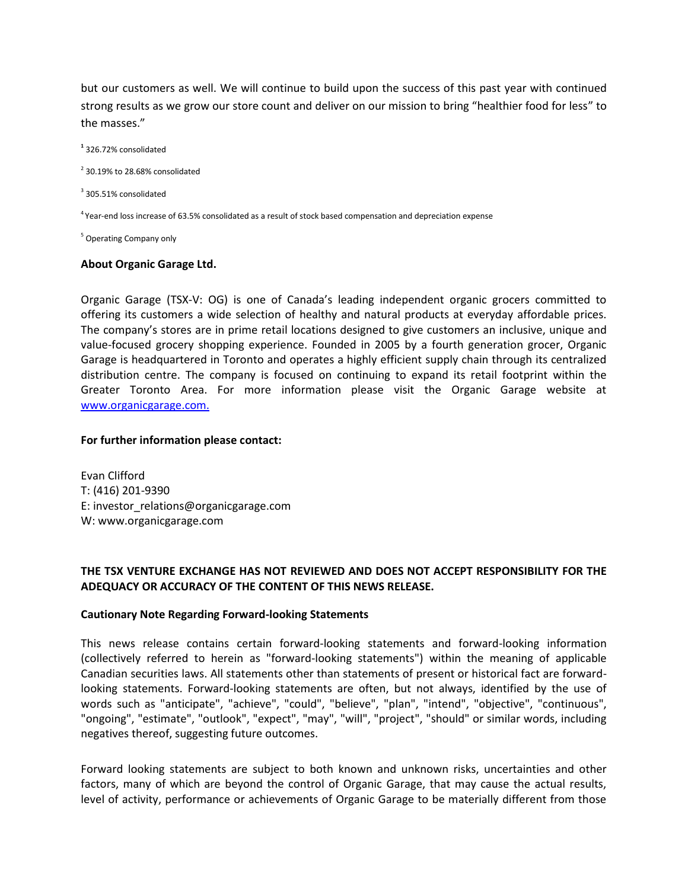but our customers as well. We will continue to build upon the success of this past year with continued strong results as we grow our store count and deliver on our mission to bring "healthier food for less" to the masses."

**1** 326.72% consolidated

 $2$  30.19% to 28.68% consolidated

<sup>3</sup> 305.51% consolidated

<sup>4</sup> Year-end loss increase of 63.5% consolidated as a result of stock based compensation and depreciation expense

<sup>5</sup> Operating Company only

#### **About Organic Garage Ltd.**

Organic Garage (TSX-V: OG) is one of Canada's leading independent organic grocers committed to offering its customers a wide selection of healthy and natural products at everyday affordable prices. The company's stores are in prime retail locations designed to give customers an inclusive, unique and value-focused grocery shopping experience. Founded in 2005 by a fourth generation grocer, Organic Garage is headquartered in Toronto and operates a highly efficient supply chain through its centralized distribution centre. The company is focused on continuing to expand its retail footprint within the Greater Toronto Area. For more information please visit the Organic Garage website at [www.organicgarage.com.](http://www.organicgarage.com/)

#### **For further information please contact:**

Evan Clifford T: (416) 201-9390 E: investor\_relations@organicgarage.com W: www.organicgarage.com

### **THE TSX VENTURE EXCHANGE HAS NOT REVIEWED AND DOES NOT ACCEPT RESPONSIBILITY FOR THE ADEQUACY OR ACCURACY OF THE CONTENT OF THIS NEWS RELEASE.**

#### **Cautionary Note Regarding Forward-looking Statements**

This news release contains certain forward-looking statements and forward-looking information (collectively referred to herein as "forward-looking statements") within the meaning of applicable Canadian securities laws. All statements other than statements of present or historical fact are forwardlooking statements. Forward-looking statements are often, but not always, identified by the use of words such as "anticipate", "achieve", "could", "believe", "plan", "intend", "objective", "continuous", "ongoing", "estimate", "outlook", "expect", "may", "will", "project", "should" or similar words, including negatives thereof, suggesting future outcomes.

Forward looking statements are subject to both known and unknown risks, uncertainties and other factors, many of which are beyond the control of Organic Garage, that may cause the actual results, level of activity, performance or achievements of Organic Garage to be materially different from those